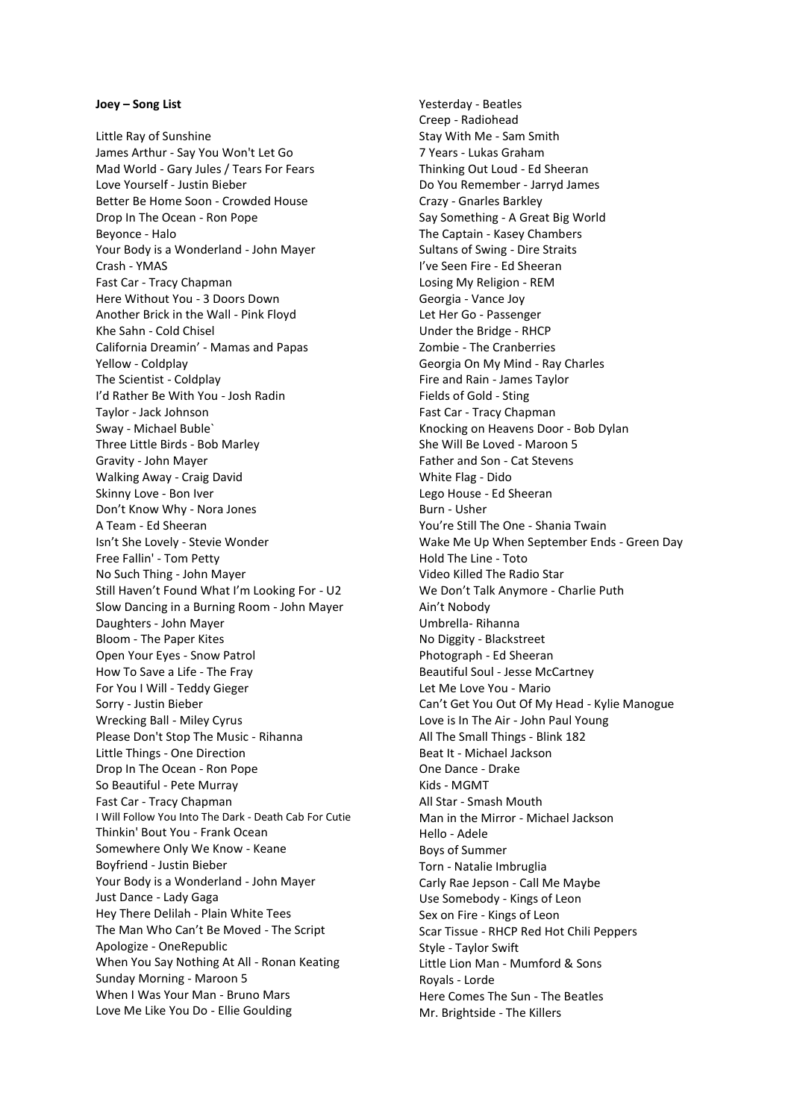## **Joey – Song List**

Little Ray of Sunshine James Arthur - Say You Won't Let Go Mad World - Gary Jules / Tears For Fears Love Yourself - Justin Bieber Better Be Home Soon - Crowded House Drop In The Ocean - Ron Pope Beyonce - Halo Your Body is a Wonderland - John Mayer Crash - YMAS Fast Car - Tracy Chapman Here Without You - 3 Doors Down Another Brick in the Wall - Pink Floyd Khe Sahn - Cold Chisel California Dreamin' - Mamas and Papas Yellow - Coldplay The Scientist - Coldplay I'd Rather Be With You - Josh Radin Taylor - Jack Johnson Sway - Michael Buble` Three Little Birds - Bob Marley Gravity - John Mayer Walking Away - Craig David Skinny Love - Bon Iver Don't Know Why - Nora Jones A Team - Ed Sheeran Isn't She Lovely - Stevie Wonder Free Fallin' - Tom Petty No Such Thing - John Mayer Still Haven't Found What I'm Looking For - U2 Slow Dancing in a Burning Room - John Mayer Daughters - John Mayer Bloom - The Paper Kites Open Your Eyes - Snow Patrol How To Save a Life - The Fray For You I Will - Teddy Gieger Sorry - Justin Bieber Wrecking Ball - Miley Cyrus Please Don't Stop The Music - Rihanna Little Things - One Direction Drop In The Ocean - Ron Pope So Beautiful - Pete Murray Fast Car - Tracy Chapman I Will Follow You Into The Dark - Death Cab For Cutie Thinkin' Bout You - Frank Ocean Somewhere Only We Know - Keane Boyfriend - Justin Bieber Your Body is a Wonderland - John Mayer Just Dance - Lady Gaga Hey There Delilah - Plain White Tees The Man Who Can't Be Moved - The Script Apologize - OneRepublic When You Say Nothing At All - Ronan Keating Sunday Morning - Maroon 5 When I Was Your Man - Bruno Mars Love Me Like You Do - Ellie Goulding

Yesterday - Beatles Creep - Radiohead Stay With Me - Sam Smith 7 Years - Lukas Graham Thinking Out Loud - Ed Sheeran Do You Remember - Jarryd James Crazy - Gnarles Barkley Say Something - A Great Big World The Captain - Kasey Chambers Sultans of Swing - Dire Straits I've Seen Fire - Ed Sheeran Losing My Religion - REM Georgia - Vance Joy Let Her Go - Passenger Under the Bridge - RHCP Zombie - The Cranberries Georgia On My Mind - Ray Charles Fire and Rain - James Taylor Fields of Gold - Sting Fast Car - Tracy Chapman Knocking on Heavens Door - Bob Dylan She Will Be Loved - Maroon 5 Father and Son - Cat Stevens White Flag - Dido Lego House - Ed Sheeran Burn - Usher You're Still The One - Shania Twain Wake Me Up When September Ends - Green Day Hold The Line - Toto Video Killed The Radio Star We Don't Talk Anymore - Charlie Puth Ain't Nobody Umbrella- Rihanna No Diggity - Blackstreet Photograph - Ed Sheeran Beautiful Soul - Jesse McCartney Let Me Love You - Mario Can't Get You Out Of My Head - Kylie Manogue Love is In The Air - John Paul Young All The Small Things - Blink 182 Beat It - Michael Jackson One Dance - Drake Kids - MGMT All Star - Smash Mouth Man in the Mirror - Michael Jackson Hello - Adele Boys of Summer Torn - Natalie Imbruglia Carly Rae Jepson - Call Me Maybe Use Somebody - Kings of Leon Sex on Fire - Kings of Leon Scar Tissue - RHCP Red Hot Chili Peppers Style - Taylor Swift Little Lion Man - Mumford & Sons Royals - Lorde Here Comes The Sun - The Beatles Mr. Brightside - The Killers